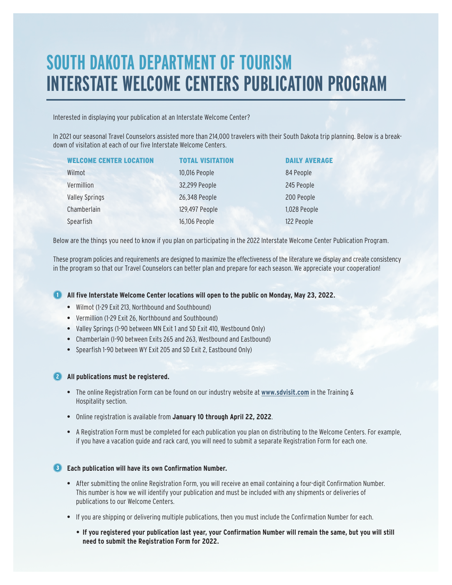## **SOUTH DAKOTA DEPARTMENT OF TOURISM INTERSTATE WELCOME CENTERS PUBLICATION PROGRAM**

Interested in displaying your publication at an Interstate Welcome Center?

In 2021 our seasonal Travel Counselors assisted more than 214,000 travelers with their South Dakota trip planning. Below is a breakdown of visitation at each of our five Interstate Welcome Centers.

| <b>WELCOME CENTER LOCATION</b> | <b>TOTAL VISITATION</b> | <b>DAILY AVERAGE</b> |
|--------------------------------|-------------------------|----------------------|
| Wilmot                         | 10,016 People           | 84 People            |
| Vermillion                     | 32,299 People           | 245 People           |
| <b>Valley Springs</b>          | 26,348 People           | 200 People           |
| Chamberlain                    | 129,497 People          | 1,028 People         |
| Spearfish                      | 16,106 People           | 122 People           |

Below are the things you need to know if you plan on participating in the 2022 Interstate Welcome Center Publication Program.

These program policies and requirements are designed to maximize the effectiveness of the literature we display and create consistency in the program so that our Travel Counselors can better plan and prepare for each season. We appreciate your cooperation!

## **All five Interstate Welcome Center locations will open to the public on Monday, May 23, 2022.**

- **•** Wilmot (1-29 Exit 213, Northbound and Southbound)
- **•** Vermillion (1-29 Exit 26, Northbound and Southbound)
- **•** Valley Springs (1-90 between MN Exit 1 and SD Exit 410, Westbound Only)
- **•** Chamberlain (I-90 between Exits 265 and 263, Westbound and Eastbound)
- **•** Spearfish 1-90 between WY Exit 205 and SD Exit 2, Eastbound Only)

## **All publications must be registered.**

- **•** The online Registration Form can be found on our industry website at **www.sdvisit.com** in the Training & Hospitality section.
- **•** Online registration is available from **January 10 through April 22, 2022**.
- **•** A Registration Form must be completed for each publication you plan on distributing to the Welcome Centers. For example, if you have a vacation guide and rack card, you will need to submit a separate Registration Form for each one.

## **Each publication will have its own Confirmation Number.**

- **•** After submitting the online Registration Form, you will receive an email containing a four-digit Confirmation Number. This number is how we will identify your publication and must be included with any shipments or deliveries of publications to our Welcome Centers.
- **•** If you are shipping or delivering multiple publications, then you must include the Confirmation Number for each.
	- **• If you registered your publication last year, your Confirmation Number will remain the same, but you will still need to submit the Registration Form for 2022.**